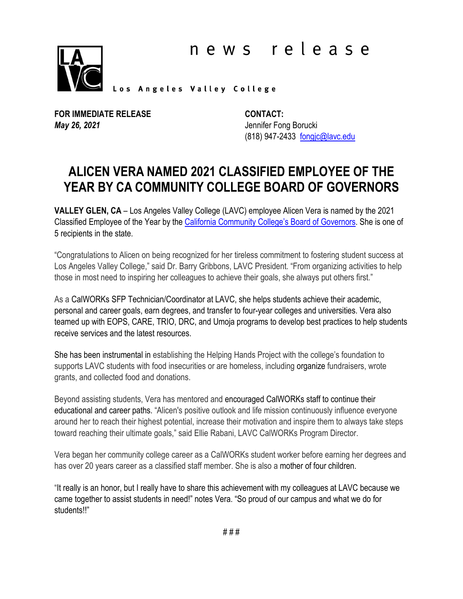

Los Angeles Valley College

**FOR IMMEDIATE RELEASE**  *May 26, 2021*

**CONTACT:** Jennifer Fong Borucki (818) 947-2433 [fongjc@lavc.edu](mailto:fongjc@lavc.edu)

## **ALICEN VERA NAMED 2021 CLASSIFIED EMPLOYEE OF THE YEAR BY CA COMMUNITY COLLEGE BOARD OF GOVERNORS**

**VALLEY GLEN, CA** – Los Angeles Valley College (LAVC) employee Alicen Vera is named by the 2021 Classified Employee of the Year by the [California Community College's Board of Governors.](http://go.boarddocs.com/ca/cccchan/Board.nsf/goto?open&id=C2HPKJ64FEB1) She is one of 5 recipients in the state.

"Congratulations to Alicen on being recognized for her tireless commitment to fostering student success at Los Angeles Valley College," said Dr. Barry Gribbons, LAVC President. "From organizing activities to help those in most need to inspiring her colleagues to achieve their goals, she always put others first."

As a CalWORKs SFP Technician/Coordinator at LAVC, she helps students achieve their academic, personal and career goals, earn degrees, and transfer to four-year colleges and universities. Vera also teamed up with EOPS, CARE, TRIO, DRC, and Umoja programs to develop best practices to help students receive services and the latest resources.

She has been instrumental in establishing the Helping Hands Project with the college's foundation to supports LAVC students with food insecurities or are homeless, including organize fundraisers, wrote grants, and collected food and donations.

Beyond assisting students, Vera has mentored and encouraged CalWORKs staff to continue their educational and career paths. "Alicen's positive outlook and life mission continuously influence everyone around her to reach their highest potential, increase their motivation and inspire them to always take steps toward reaching their ultimate goals," said Ellie Rabani, LAVC CalWORKs Program Director.

Vera began her community college career as a CalWORKs student worker before earning her degrees and has over 20 years career as a classified staff member. She is also a mother of four children.

"It really is an honor, but I really have to share this achievement with my colleagues at LAVC because we came together to assist students in need!" notes Vera. "So proud of our campus and what we do for students!!"